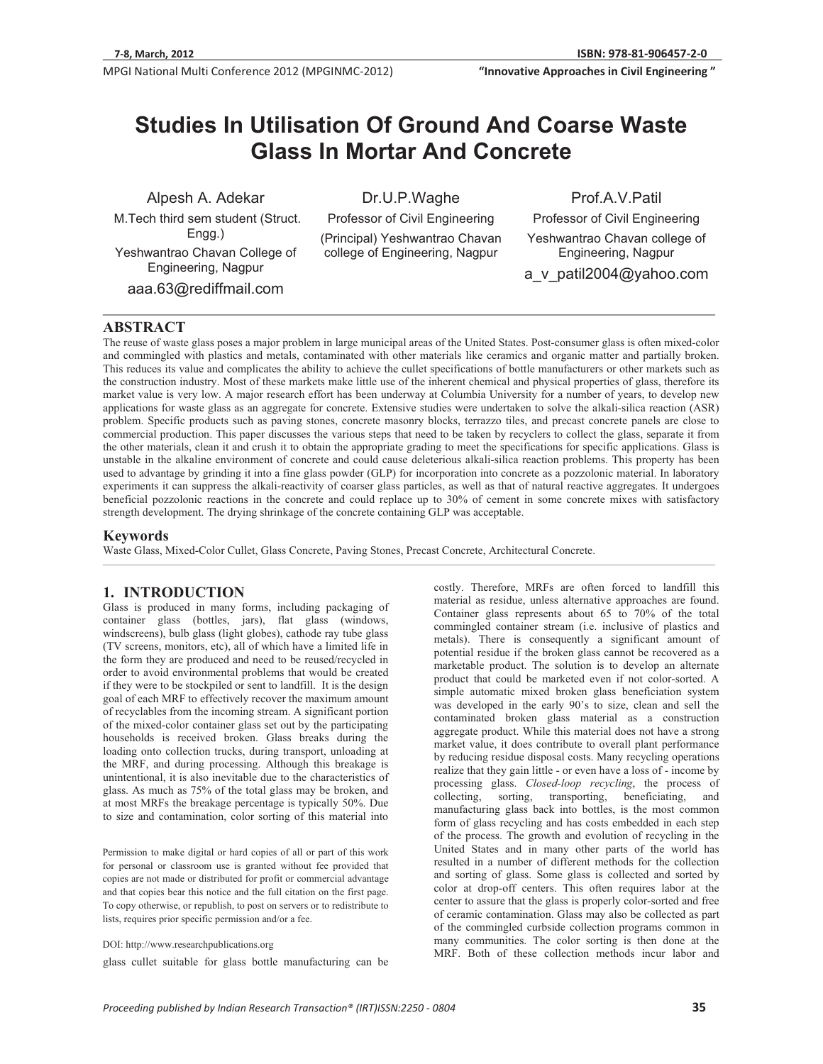**81-906457-2-0 "InnovativeApproachesinCivilEngineering"**

# **Studies In Utilisation Of Ground And Coarse Waste Glass In Mortar And Concrete**

Alpesh A. Adekar M.Tech third sem student (Struct. Engg.) Yeshwantrao Chavan College of Engineering, Nagpur

Dr.U.P.Waghe

Professor of Civil Engineering (Principal) Yeshwantrao Chavan college of Engineering, Nagpur

Prof.A.V.Patil Professor of Civil Engineering Yeshwantrao Chavan college of Engineering, Nagpur a\_v\_patil2004@yahoo.com

## aaa.63@rediffmail.com

## **ABSTRACT**

The reuse of waste glass poses a major problem in large municipal areas of the United States. Post-consumer glass is often mixed-color and commingled with plastics and metals, contaminated with other materials like ceramics and organic matter and partially broken. This reduces its value and complicates the ability to achieve the cullet specifications of bottle manufacturers or other markets such as the construction industry. Most of these markets make little use of the inherent chemical and physical properties of glass, therefore its market value is very low. A major research effort has been underway at Columbia University for a number of years, to develop new applications for waste glass as an aggregate for concrete. Extensive studies were undertaken to solve the alkali-silica reaction (ASR) problem. Specific products such as paving stones, concrete masonry blocks, terrazzo tiles, and precast concrete panels are close to commercial production. This paper discusses the various steps that need to be taken by recyclers to collect the glass, separate it from the other materials, clean it and crush it to obtain the appropriate grading to meet the specifications for specific applications. Glass is unstable in the alkaline environment of concrete and could cause deleterious alkali-silica reaction problems. This property has been used to advantage by grinding it into a fine glass powder (GLP) for incorporation into concrete as a pozzolonic material. In laboratory experiments it can suppress the alkali-reactivity of coarser glass particles, as well as that of natural reactive aggregates. It undergoes beneficial pozzolonic reactions in the concrete and could replace up to 30% of cement in some concrete mixes with satisfactory strength development. The drying shrinkage of the concrete containing GLP was acceptable.

## **Keywords**

Waste Glass, Mixed-Color Cullet, Glass Concrete, Paving Stones, Precast Concrete, Architectural Concrete.

## **1. INTRODUCTION**

Glass is produced in many forms, including packaging of container glass (bottles, jars), flat glass (windows, windscreens), bulb glass (light globes), cathode ray tube glass (TV screens, monitors, etc), all of which have a limited life in the form they are produced and need to be reused/recycled in order to avoid environmental problems that would be created if they were to be stockpiled or sent to landfill. It is the design goal of each MRF to effectively recover the maximum amount of recyclables from the incoming stream. A significant portion of the mixed-color container glass set out by the participating households is received broken. Glass breaks during the loading onto collection trucks, during transport, unloading at the MRF, and during processing. Although this breakage is unintentional, it is also inevitable due to the characteristics of glass. As much as 75% of the total glass may be broken, and at most MRFs the breakage percentage is typically 50%. Due to size and contamination, color sorting of this material into

Permission to make digital or hard copies of all or part of this work for personal or classroom use is granted without fee provided that copies are not made or distributed for profit or commercial advantage and that copies bear this notice and the full citation on the first page. To copy otherwise, or republish, to post on servers or to redistribute to lists, requires prior specific permission and/or a fee.

## DOI: http://www.researchpublications.org

glass cullet suitable for glass bottle manufacturing can be

costly. Therefore, MRFs are often forced to landfill this material as residue, unless alternative approaches are found. Container glass represents about 65 to 70% of the total commingled container stream (i.e. inclusive of plastics and metals). There is consequently a significant amount of potential residue if the broken glass cannot be recovered as a marketable product. The solution is to develop an alternate product that could be marketed even if not color-sorted. A simple automatic mixed broken glass beneficiation system was developed in the early 90's to size, clean and sell the contaminated broken glass material as a construction aggregate product. While this material does not have a strong market value, it does contribute to overall plant performance by reducing residue disposal costs. Many recycling operations realize that they gain little - or even have a loss of - income by processing glass. *Closed-loop recycling*, the process of collecting, sorting, transporting, beneficiating, and sorting, transporting, beneficiating, and manufacturing glass back into bottles, is the most common form of glass recycling and has costs embedded in each step of the process. The growth and evolution of recycling in the United States and in many other parts of the world has resulted in a number of different methods for the collection and sorting of glass. Some glass is collected and sorted by color at drop-off centers. This often requires labor at the center to assure that the glass is properly color-sorted and free of ceramic contamination. Glass may also be collected as part of the commingled curbside collection programs common in many communities. The color sorting is then done at the MRF. Both of these collection methods incur labor and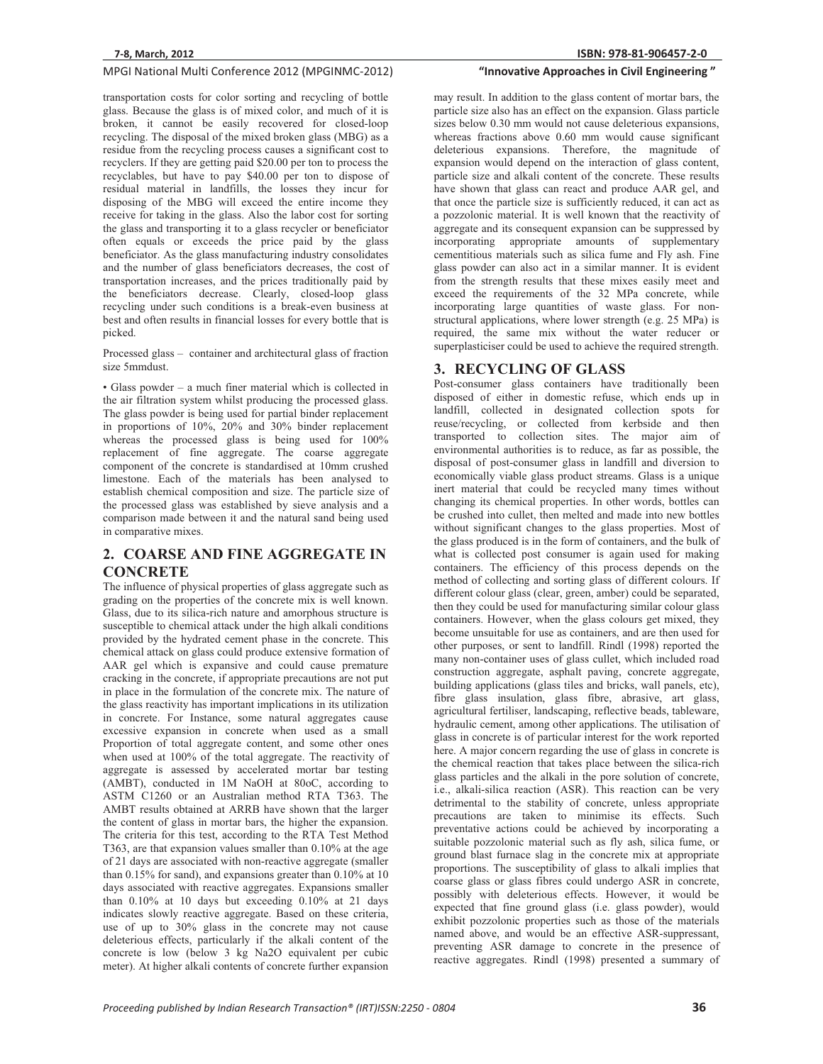transportation costs for color sorting and recycling of bottle glass. Because the glass is of mixed color, and much of it is broken, it cannot be easily recovered for closed-loop recycling. The disposal of the mixed broken glass (MBG) as a residue from the recycling process causes a significant cost to recyclers. If they are getting paid \$20.00 per ton to process the recyclables, but have to pay \$40.00 per ton to dispose of residual material in landfills, the losses they incur for disposing of the MBG will exceed the entire income they receive for taking in the glass. Also the labor cost for sorting the glass and transporting it to a glass recycler or beneficiator often equals or exceeds the price paid by the glass beneficiator. As the glass manufacturing industry consolidates and the number of glass beneficiators decreases, the cost of transportation increases, and the prices traditionally paid by the beneficiators decrease. Clearly, closed-loop glass recycling under such conditions is a break-even business at best and often results in financial losses for every bottle that is picked.

Processed glass – container and architectural glass of fraction size 5mmdust.

• Glass powder – a much finer material which is collected in the air filtration system whilst producing the processed glass. The glass powder is being used for partial binder replacement in proportions of 10%, 20% and 30% binder replacement whereas the processed glass is being used for 100% replacement of fine aggregate. The coarse aggregate component of the concrete is standardised at 10mm crushed limestone. Each of the materials has been analysed to establish chemical composition and size. The particle size of the processed glass was established by sieve analysis and a comparison made between it and the natural sand being used in comparative mixes.

## **2. COARSE AND FINE AGGREGATE IN CONCRETE**

The influence of physical properties of glass aggregate such as grading on the properties of the concrete mix is well known. Glass, due to its silica-rich nature and amorphous structure is susceptible to chemical attack under the high alkali conditions provided by the hydrated cement phase in the concrete. This chemical attack on glass could produce extensive formation of AAR gel which is expansive and could cause premature cracking in the concrete, if appropriate precautions are not put in place in the formulation of the concrete mix. The nature of the glass reactivity has important implications in its utilization in concrete. For Instance, some natural aggregates cause excessive expansion in concrete when used as a small Proportion of total aggregate content, and some other ones when used at 100% of the total aggregate. The reactivity of aggregate is assessed by accelerated mortar bar testing (AMBT), conducted in 1M NaOH at 80oC, according to ASTM C1260 or an Australian method RTA T363. The AMBT results obtained at ARRB have shown that the larger the content of glass in mortar bars, the higher the expansion. The criteria for this test, according to the RTA Test Method T363, are that expansion values smaller than 0.10% at the age of 21 days are associated with non-reactive aggregate (smaller than 0.15% for sand), and expansions greater than 0.10% at 10 days associated with reactive aggregates. Expansions smaller than 0.10% at 10 days but exceeding 0.10% at 21 days indicates slowly reactive aggregate. Based on these criteria, use of up to 30% glass in the concrete may not cause deleterious effects, particularly if the alkali content of the concrete is low (below 3 kg Na2O equivalent per cubic meter). At higher alkali contents of concrete further expansion

## **81-906457-2-0 "InnovativeApproachesinCivilEngineering"**

may result. In addition to the glass content of mortar bars, the particle size also has an effect on the expansion. Glass particle sizes below 0.30 mm would not cause deleterious expansions, whereas fractions above 0.60 mm would cause significant deleterious expansions. Therefore, the magnitude of expansion would depend on the interaction of glass content, particle size and alkali content of the concrete. These results have shown that glass can react and produce AAR gel, and that once the particle size is sufficiently reduced, it can act as a pozzolonic material. It is well known that the reactivity of aggregate and its consequent expansion can be suppressed by incorporating appropriate amounts of supplementary cementitious materials such as silica fume and Fly ash. Fine glass powder can also act in a similar manner. It is evident from the strength results that these mixes easily meet and exceed the requirements of the 32 MPa concrete, while incorporating large quantities of waste glass. For nonstructural applications, where lower strength (e.g. 25 MPa) is required, the same mix without the water reducer or superplasticiser could be used to achieve the required strength.

## **3. RECYCLING OF GLASS**

Post-consumer glass containers have traditionally been disposed of either in domestic refuse, which ends up in landfill, collected in designated collection spots for reuse/recycling, or collected from kerbside and then transported to collection sites. The major aim of environmental authorities is to reduce, as far as possible, the disposal of post-consumer glass in landfill and diversion to economically viable glass product streams. Glass is a unique inert material that could be recycled many times without changing its chemical properties. In other words, bottles can be crushed into cullet, then melted and made into new bottles without significant changes to the glass properties. Most of the glass produced is in the form of containers, and the bulk of what is collected post consumer is again used for making containers. The efficiency of this process depends on the method of collecting and sorting glass of different colours. If different colour glass (clear, green, amber) could be separated, then they could be used for manufacturing similar colour glass containers. However, when the glass colours get mixed, they become unsuitable for use as containers, and are then used for other purposes, or sent to landfill. Rindl (1998) reported the many non-container uses of glass cullet, which included road construction aggregate, asphalt paving, concrete aggregate, building applications (glass tiles and bricks, wall panels, etc), fibre glass insulation, glass fibre, abrasive, art glass, agricultural fertiliser, landscaping, reflective beads, tableware, hydraulic cement, among other applications. The utilisation of glass in concrete is of particular interest for the work reported here. A major concern regarding the use of glass in concrete is the chemical reaction that takes place between the silica-rich glass particles and the alkali in the pore solution of concrete, i.e., alkali-silica reaction (ASR). This reaction can be very detrimental to the stability of concrete, unless appropriate precautions are taken to minimise its effects. Such preventative actions could be achieved by incorporating a suitable pozzolonic material such as fly ash, silica fume, or ground blast furnace slag in the concrete mix at appropriate proportions. The susceptibility of glass to alkali implies that coarse glass or glass fibres could undergo ASR in concrete, possibly with deleterious effects. However, it would be expected that fine ground glass (i.e. glass powder), would exhibit pozzolonic properties such as those of the materials named above, and would be an effective ASR-suppressant, preventing ASR damage to concrete in the presence of reactive aggregates. Rindl (1998) presented a summary of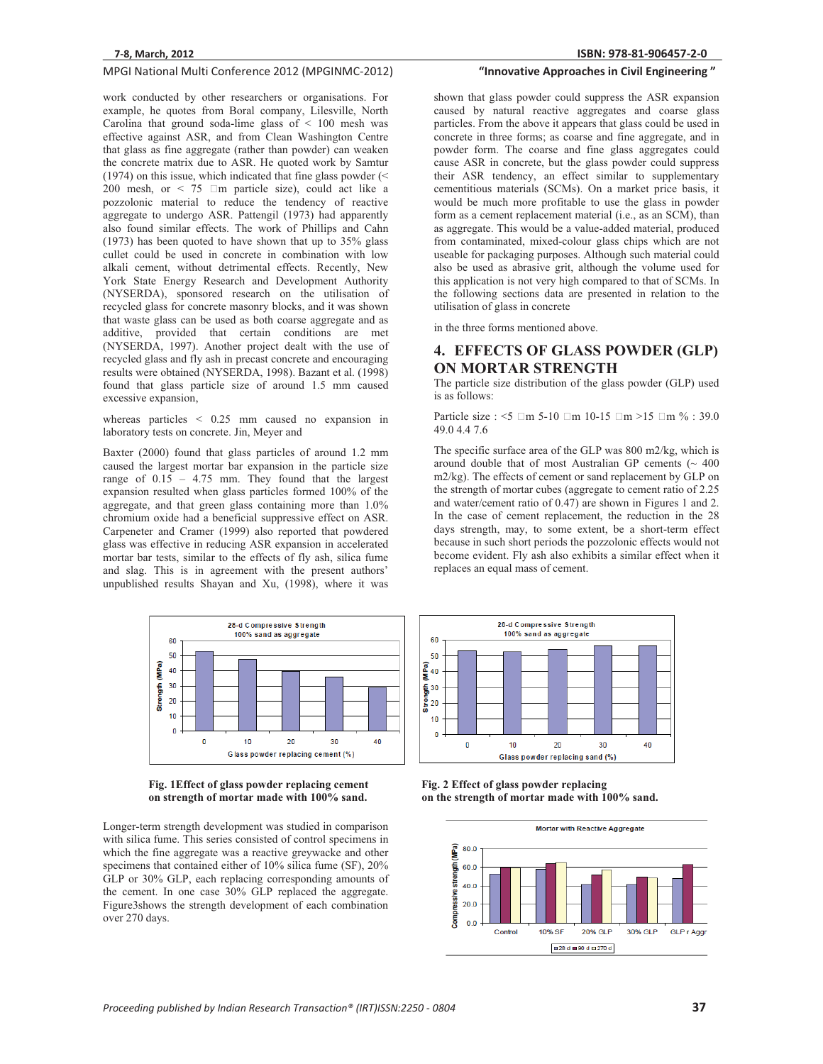work conducted by other researchers or organisations. For example, he quotes from Boral company, Lilesville, North Carolina that ground soda-lime glass of  $\leq 100$  mesh was effective against ASR, and from Clean Washington Centre that glass as fine aggregate (rather than powder) can weaken the concrete matrix due to ASR. He quoted work by Samtur (1974) on this issue, which indicated that fine glass powder  $\ll$ 200 mesh, or  $\leq$  75  $\Box$ m particle size), could act like a pozzolonic material to reduce the tendency of reactive aggregate to undergo ASR. Pattengil (1973) had apparently also found similar effects. The work of Phillips and Cahn (1973) has been quoted to have shown that up to 35% glass cullet could be used in concrete in combination with low alkali cement, without detrimental effects. Recently, New York State Energy Research and Development Authority (NYSERDA), sponsored research on the utilisation of recycled glass for concrete masonry blocks, and it was shown that waste glass can be used as both coarse aggregate and as additive, provided that certain conditions are met (NYSERDA, 1997). Another project dealt with the use of recycled glass and fly ash in precast concrete and encouraging results were obtained (NYSERDA, 1998). Bazant et al. (1998) found that glass particle size of around 1.5 mm caused excessive expansion,

### whereas particles < 0.25 mm caused no expansion in laboratory tests on concrete. Jin, Meyer and

Baxter (2000) found that glass particles of around 1.2 mm caused the largest mortar bar expansion in the particle size range of  $0.15 - 4.75$  mm. They found that the largest expansion resulted when glass particles formed 100% of the aggregate, and that green glass containing more than 1.0% chromium oxide had a beneficial suppressive effect on ASR. Carpeneter and Cramer (1999) also reported that powdered glass was effective in reducing ASR expansion in accelerated mortar bar tests, similar to the effects of fly ash, silica fume and slag. This is in agreement with the present authors' unpublished results Shayan and Xu, (1998), where it was



Fig. 1Effect of glass powder replacing cement Fig. 2 Effect of glass powder replacing<br>on strength of mortar made with 100% sand. on the strength of mortar made with 100

Longer-term strength development was studied in comparison with silica fume. This series consisted of control specimens in which the fine aggregate was a reactive greywacke and other specimens that contained either of 10% silica fume (SF), 20% GLP or 30% GLP, each replacing corresponding amounts of the cement. In one case 30% GLP replaced the aggregate. Figure3shows the strength development of each combination over 270 days.

## **81-906457-2-0 "InnovativeApproachesinCivilEngineering"**

shown that glass powder could suppress the ASR expansion caused by natural reactive aggregates and coarse glass particles. From the above it appears that glass could be used in concrete in three forms; as coarse and fine aggregate, and in powder form. The coarse and fine glass aggregates could cause ASR in concrete, but the glass powder could suppress their ASR tendency, an effect similar to supplementary cementitious materials (SCMs). On a market price basis, it would be much more profitable to use the glass in powder form as a cement replacement material (i.e., as an SCM), than as aggregate. This would be a value-added material, produced from contaminated, mixed-colour glass chips which are not useable for packaging purposes. Although such material could also be used as abrasive grit, although the volume used for this application is not very high compared to that of SCMs. In the following sections data are presented in relation to the utilisation of glass in concrete

in the three forms mentioned above.

## **4. EFFECTS OF GLASS POWDER (GLP) ON MORTAR STRENGTH**

The particle size distribution of the glass powder (GLP) used is as follows:

Particle size : <5  $\Box$ m 5-10  $\Box$ m 10-15  $\Box$ m >15  $\Box$ m % : 39.0 49.0 4.4 7.6

The specific surface area of the GLP was 800 m2/kg, which is around double that of most Australian GP cements  $($   $\sim$  400 m2/kg). The effects of cement or sand replacement by GLP on the strength of mortar cubes (aggregate to cement ratio of 2.25 and water/cement ratio of 0.47) are shown in Figures 1 and 2. In the case of cement replacement, the reduction in the 28 days strength, may, to some extent, be a short-term effect because in such short periods the pozzolonic effects would not become evident. Fly ash also exhibits a similar effect when it replaces an equal mass of cement.



on the strength of mortar made with 100% sand.

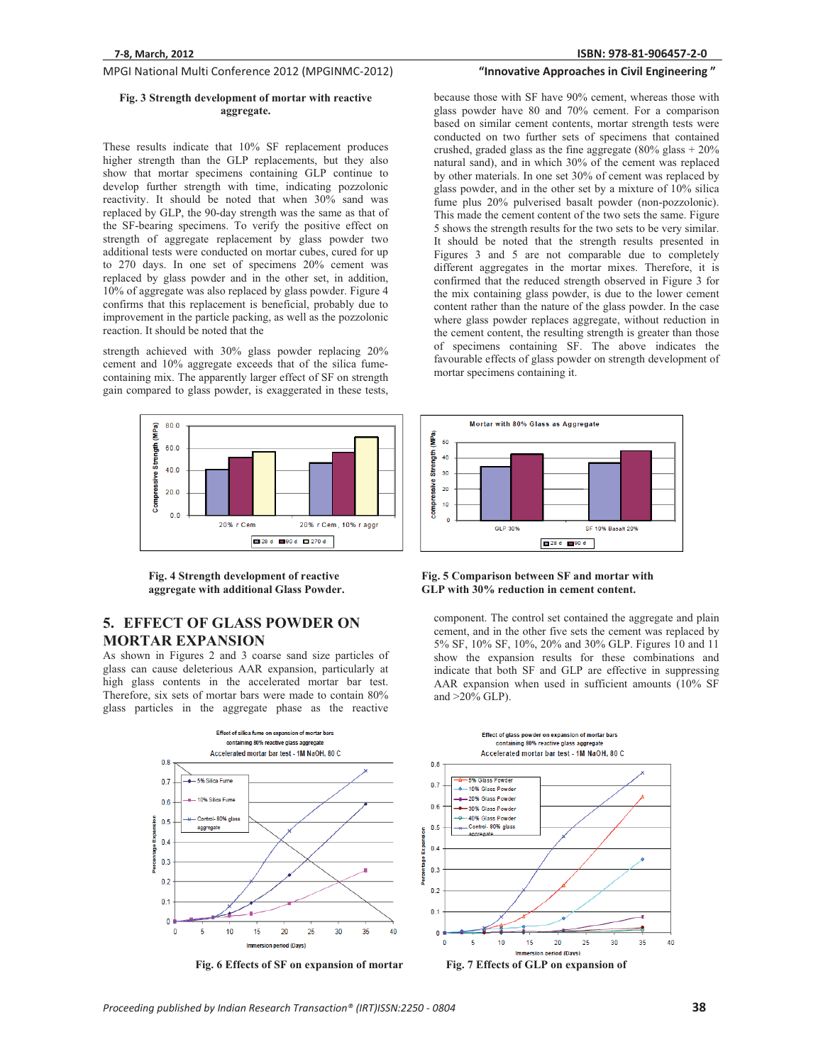## **Fig. 3 Strength development of mortar with reactive aggregate.**

These results indicate that 10% SF replacement produces higher strength than the GLP replacements, but they also show that mortar specimens containing GLP continue to develop further strength with time, indicating pozzolonic reactivity. It should be noted that when 30% sand was replaced by GLP, the 90-day strength was the same as that of the SF-bearing specimens. To verify the positive effect on strength of aggregate replacement by glass powder two additional tests were conducted on mortar cubes, cured for up to 270 days. In one set of specimens 20% cement was replaced by glass powder and in the other set, in addition, 10% of aggregate was also replaced by glass powder. Figure 4 confirms that this replacement is beneficial, probably due to improvement in the particle packing, as well as the pozzolonic reaction. It should be noted that the

strength achieved with 30% glass powder replacing 20% cement and 10% aggregate exceeds that of the silica fumecontaining mix. The apparently larger effect of SF on strength gain compared to glass powder, is exaggerated in these tests,



aggregate with additional Glass Powder.

## **5. EFFECT OF GLASS POWDER ON MORTAR EXPANSION**

As shown in Figures 2 and 3 coarse sand size particles of glass can cause deleterious AAR expansion, particularly at high glass contents in the accelerated mortar bar test. Therefore, six sets of mortar bars were made to contain 80% glass particles in the aggregate phase as the reactive

## **81-906457-2-0 "InnovativeApproachesinCivilEngineering"**

because those with SF have 90% cement, whereas those with glass powder have 80 and 70% cement. For a comparison based on similar cement contents, mortar strength tests were conducted on two further sets of specimens that contained crushed, graded glass as the fine aggregate (80% glass  $+ 20\%$ ) natural sand), and in which 30% of the cement was replaced by other materials. In one set 30% of cement was replaced by glass powder, and in the other set by a mixture of 10% silica fume plus 20% pulverised basalt powder (non-pozzolonic). This made the cement content of the two sets the same. Figure 5 shows the strength results for the two sets to be very similar. It should be noted that the strength results presented in Figures 3 and 5 are not comparable due to completely different aggregates in the mortar mixes. Therefore, it is confirmed that the reduced strength observed in Figure 3 for the mix containing glass powder, is due to the lower cement content rather than the nature of the glass powder. In the case where glass powder replaces aggregate, without reduction in the cement content, the resulting strength is greater than those of specimens containing SF. The above indicates the favourable effects of glass powder on strength development of mortar specimens containing it.



# **Fig. 4 Strength development of reactive** Fig. 5 Comparison between SF and mortar with <br>
aggregate with additional Glass Powder. GLP with 30% reduction in cement content.

component. The control set contained the aggregate and plain cement, and in the other five sets the cement was replaced by 5% SF, 10% SF, 10%, 20% and 30% GLP. Figures 10 and 11 show the expansion results for these combinations and indicate that both SF and GLP are effective in suppressing AAR expansion when used in sufficient amounts (10% SF and  $>20\%$  GLP).

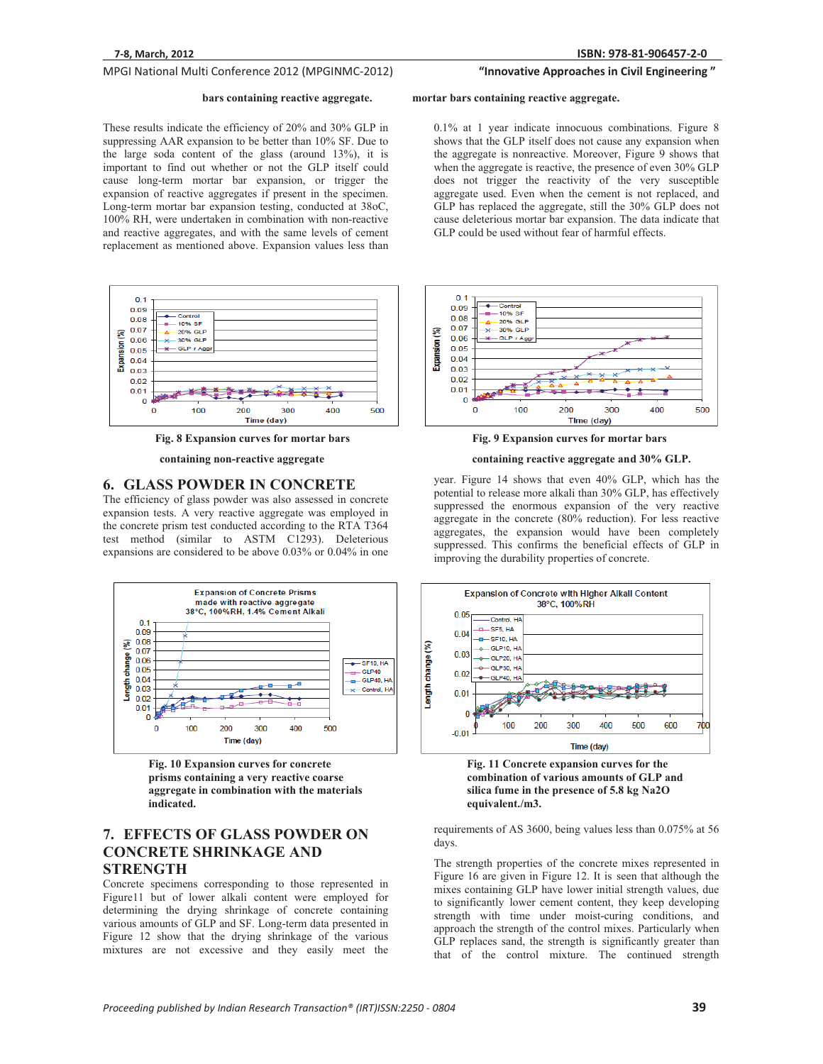These results indicate the efficiency of 20% and 30% GLP in suppressing AAR expansion to be better than 10% SF. Due to the large soda content of the glass (around 13%), it is important to find out whether or not the GLP itself could cause long-term mortar bar expansion, or trigger the expansion of reactive aggregates if present in the specimen. Long-term mortar bar expansion testing, conducted at 38oC, 100% RH, were undertaken in combination with non-reactive and reactive aggregates, and with the same levels of cement replacement as mentioned above. Expansion values less than



Fig. 8 Expansion curves for mortar bars **Fig. 9 Expansion curves for mortar bars Fig. 9 Expansion curves for mortar bars** 

## **6. GLASS POWDER IN CONCRETE**

The efficiency of glass powder was also assessed in concrete expansion tests. A very reactive aggregate was employed in the concrete prism test conducted according to the RTA T364 test method (similar to ASTM C1293). Deleterious expansions are considered to be above 0.03% or 0.04% in one



**Fig. 10 Expansion curves for concrete**<br> **Fig. 11 Concrete expansion curves for the**<br> **Fig. 11 Concrete expansion curves for the**<br> **Combination of various amounts of GLP a aggregate in combination with the materials indicated** 

## **7. EFFECTS OF GLASS POWDER ON CONCRETE SHRINKAGE AND STRENGTH**

Concrete specimens corresponding to those represented in Figure11 but of lower alkali content were employed for determining the drying shrinkage of concrete containing various amounts of GLP and SF. Long-term data presented in Figure 12 show that the drying shrinkage of the various mixtures are not excessive and they easily meet the

## **bars containing reactive aggregate. mortar bars containing reactive aggregate.**

0.1% at 1 year indicate innocuous combinations. Figure 8 shows that the GLP itself does not cause any expansion when the aggregate is nonreactive. Moreover, Figure 9 shows that when the aggregate is reactive, the presence of even 30% GLP does not trigger the reactivity of the very susceptible aggregate used. Even when the cement is not replaced, and GLP has replaced the aggregate, still the 30% GLP does not cause deleterious mortar bar expansion. The data indicate that GLP could be used without fear of harmful effects.

**"InnovativeApproachesinCivilEngineering"**



## **containing non-reactive aggregate containing reactive aggregate and 30% GLP.**

year. Figure 14 shows that even 40% GLP, which has the potential to release more alkali than 30% GLP, has effectively suppressed the enormous expansion of the very reactive aggregate in the concrete (80% reduction). For less reactive aggregates, the expansion would have been completely suppressed. This confirms the beneficial effects of GLP in improving the durability properties of concrete.



 **combination of various amounts of GLP and silica fume in the presence of 5.8 kg Na2O equivalent./m3.** 

requirements of AS 3600, being values less than 0.075% at 56 days.

The strength properties of the concrete mixes represented in Figure 16 are given in Figure 12. It is seen that although the mixes containing GLP have lower initial strength values, due to significantly lower cement content, they keep developing strength with time under moist-curing conditions, and approach the strength of the control mixes. Particularly when GLP replaces sand, the strength is significantly greater than that of the control mixture. The continued strength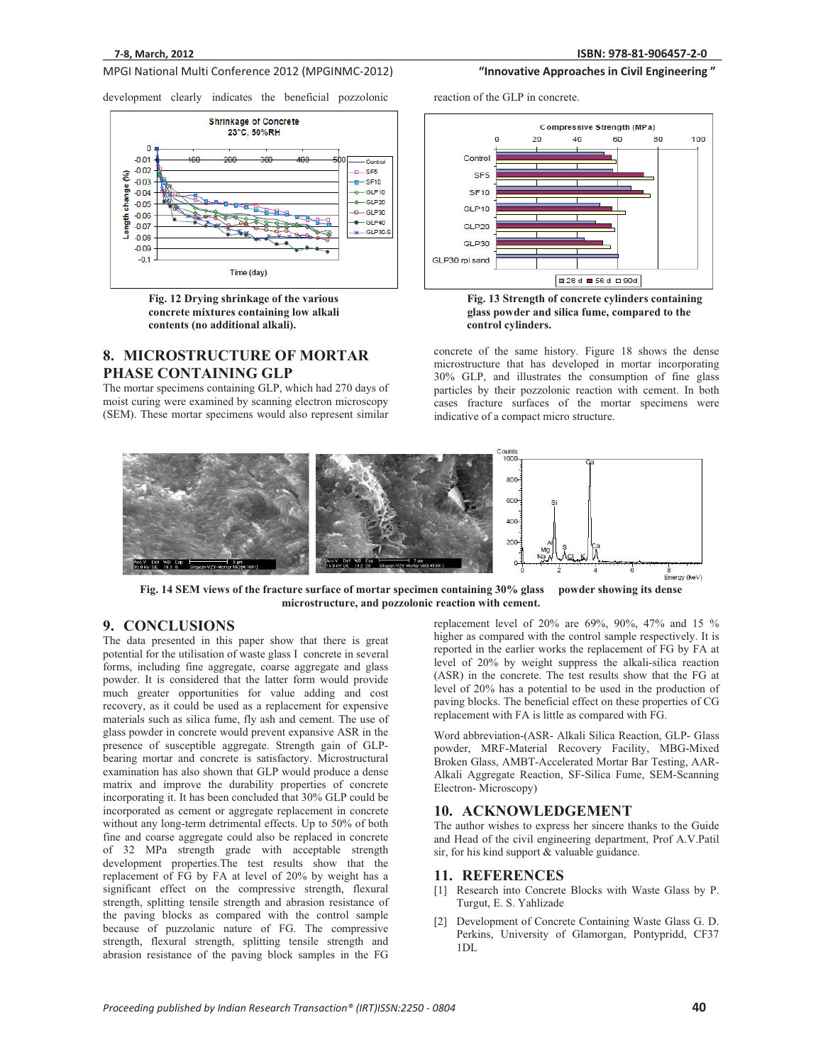development clearly indicates the beneficial pozzolonic reaction of the GLP in concrete.



contents (no additional alkali).

## **8. MICROSTRUCTURE OF MORTAR PHASE CONTAINING GLP**

The mortar specimens containing GLP, which had 270 days of moist curing were examined by scanning electron microscopy (SEM). These mortar specimens would also represent similar

**We are the Civil Engineering**<br> **812-11 Civil Engineering "InnovativeApproachesinCivilEngineering"**





concrete of the same history. Figure 18 shows the dense microstructure that has developed in mortar incorporating 30% GLP, and illustrates the consumption of fine glass particles by their pozzolonic reaction with cement. In both cases fracture surfaces of the mortar specimens were indicative of a compact micro structure.



**Fig. 14 SEM views of the fracture surface of mortar specimen containing 30% glass powder showing its dense microstructure, and pozzolonic reaction with cement.** 

## **9. CONCLUSIONS**

The data presented in this paper show that there is great potential for the utilisation of waste glass I concrete in several forms, including fine aggregate, coarse aggregate and glass powder. It is considered that the latter form would provide much greater opportunities for value adding and cost recovery, as it could be used as a replacement for expensive materials such as silica fume, fly ash and cement. The use of glass powder in concrete would prevent expansive ASR in the presence of susceptible aggregate. Strength gain of GLPbearing mortar and concrete is satisfactory. Microstructural examination has also shown that GLP would produce a dense matrix and improve the durability properties of concrete incorporating it. It has been concluded that 30% GLP could be incorporated as cement or aggregate replacement in concrete without any long-term detrimental effects. Up to 50% of both fine and coarse aggregate could also be replaced in concrete of 32 MPa strength grade with acceptable strength development properties.The test results show that the replacement of FG by FA at level of 20% by weight has a significant effect on the compressive strength, flexural strength, splitting tensile strength and abrasion resistance of the paving blocks as compared with the control sample because of puzzolanic nature of FG. The compressive strength, flexural strength, splitting tensile strength and abrasion resistance of the paving block samples in the FG

replacement level of 20% are 69%, 90%, 47% and 15 % higher as compared with the control sample respectively. It is reported in the earlier works the replacement of FG by FA at level of 20% by weight suppress the alkali-silica reaction (ASR) in the concrete. The test results show that the FG at level of 20% has a potential to be used in the production of paving blocks. The beneficial effect on these properties of CG replacement with FA is little as compared with FG.

Word abbreviation-(ASR- Alkali Silica Reaction, GLP- Glass powder, MRF-Material Recovery Facility, MBG-Mixed Broken Glass, AMBT-Accelerated Mortar Bar Testing, AAR-Alkali Aggregate Reaction, SF-Silica Fume, SEM-Scanning Electron- Microscopy)

## **10. ACKNOWLEDGEMENT**

The author wishes to express her sincere thanks to the Guide and Head of the civil engineering department, Prof A.V.Patil sir, for his kind support & valuable guidance.

### **11. REFERENCES**

- [1] Research into Concrete Blocks with Waste Glass by P. Turgut, E. S. Yahlizade
- [2] Development of Concrete Containing Waste Glass G. D. Perkins, University of Glamorgan, Pontypridd, CF37 1DL